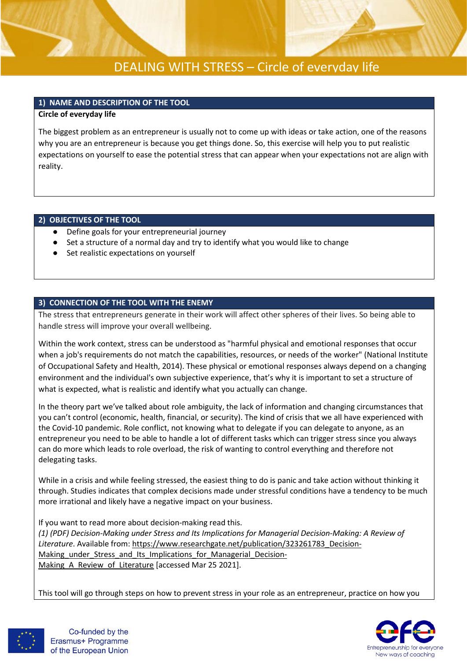

## **1) NAME AND DESCRIPTION OF THE TOOL**

### **Circle of everyday life**

The biggest problem as an entrepreneur is usually not to come up with ideas or take action, one of the reasons why you are an entrepreneur is because you get things done. So, this exercise will help you to put realistic expectations on yourself to ease the potential stress that can appear when your expectations not are align with reality.

## **2) OBJECTIVES OF THE TOOL**

- Define goals for your entrepreneurial journey
- Set a structure of a normal day and try to identify what you would like to change
- Set realistic expectations on yourself

## **3) CONNECTION OF THE TOOL WITH THE ENEMY**

The stress that entrepreneurs generate in their work will affect other spheres of their lives. So being able to handle stress will improve your overall wellbeing.

Within the work context, stress can be understood as "harmful physical and emotional responses that occur when a job's requirements do not match the capabilities, resources, or needs of the worker" (National Institute of Occupational Safety and Health, 2014). These physical or emotional responses always depend on a changing environment and the individual's own subjective experience, that's why it is important to set a structure of what is expected, what is realistic and identify what you actually can change.

In the theory part we've talked about role ambiguity, the lack of information and changing circumstances that you can't control (economic, health, financial, or security). The kind of crisis that we all have experienced with the Covid-10 pandemic. Role conflict, not knowing what to delegate if you can delegate to anyone, as an entrepreneur you need to be able to handle a lot of different tasks which can trigger stress since you always can do more which leads to role overload, the risk of wanting to control everything and therefore not delegating tasks.

While in a crisis and while feeling stressed, the easiest thing to do is panic and take action without thinking it through. Studies indicates that complex decisions made under stressful conditions have a tendency to be much more irrational and likely have a negative impact on your business.

If you want to read more about decision-making read this. *(1) (PDF) Decision-Making under Stress and Its Implications for Managerial Decision-Making: A Review of Literature*. Available from: [https://www.researchgate.net/publication/323261783\\_Decision-](https://www.researchgate.net/publication/323261783_Decision-Making_under_Stress_and_Its_Implications_for_Managerial_Decision-Making_A_Review_of_Literature)Making under Stress and Its Implications for Managerial Decision-Making A Review of Literature [accessed Mar 25 2021].

This tool will go through steps on how to prevent stress in your role as an entrepreneur, practice on how you



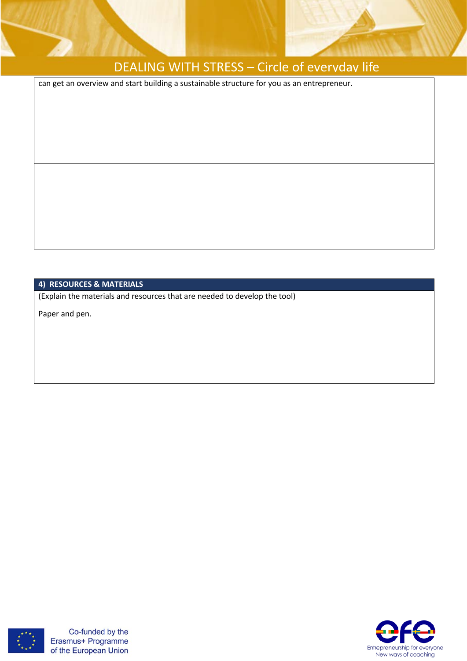

can get an overview and start building a sustainable structure for you as an entrepreneur.

## **4) RESOURCES & MATERIALS**

(Explain the materials and resources that are needed to develop the tool)

Paper and pen.



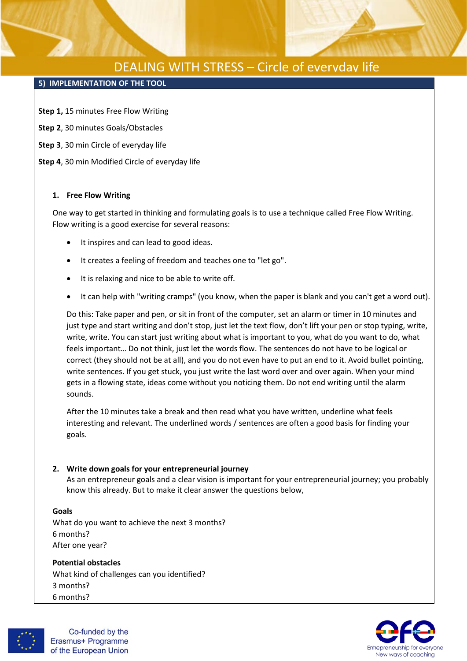### **5) IMPLEMENTATION OF THE TOOL**

**Step 1,** 15 minutes Free Flow Writing

- **Step 2**, 30 minutes Goals/Obstacles
- **Step 3**, 30 min Circle of everyday life
- **Step 4**, 30 min Modified Circle of everyday life

#### **1. Free Flow Writing**

One way to get started in thinking and formulating goals is to use a technique called Free Flow Writing. Flow writing is a good exercise for several reasons:

- It inspires and can lead to good ideas.
- It creates a feeling of freedom and teaches one to "let go".
- It is relaxing and nice to be able to write off.
- It can help with "writing cramps" (you know, when the paper is blank and you can't get a word out).

Do this: Take paper and pen, or sit in front of the computer, set an alarm or timer in 10 minutes and just type and start writing and don't stop, just let the text flow, don't lift your pen or stop typing, write, write, write. You can start just writing about what is important to you, what do you want to do, what feels important… Do not think, just let the words flow. The sentences do not have to be logical or correct (they should not be at all), and you do not even have to put an end to it. Avoid bullet pointing, write sentences. If you get stuck, you just write the last word over and over again. When your mind gets in a flowing state, ideas come without you noticing them. Do not end writing until the alarm sounds.

After the 10 minutes take a break and then read what you have written, underline what feels interesting and relevant. The underlined words / sentences are often a good basis for finding your goals.

### **2. Write down goals for your entrepreneurial journey**

As an entrepreneur goals and a clear vision is important for your entrepreneurial journey; you probably know this already. But to make it clear answer the questions below,

### **Goals**

What do you want to achieve the next 3 months? 6 months? After one year?

## **Potential obstacles**

What kind of challenges can you identified? 3 months? 6 months?



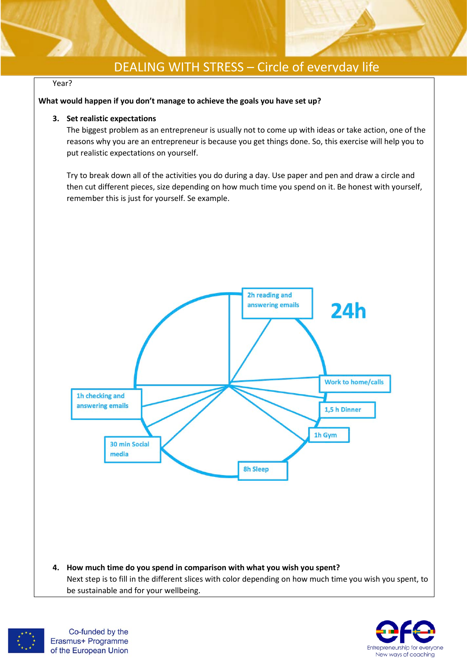#### Year?

#### **What would happen if you don't manage to achieve the goals you have set up?**

#### **3. Set realistic expectations**

The biggest problem as an entrepreneur is usually not to come up with ideas or take action, one of the reasons why you are an entrepreneur is because you get things done. So, this exercise will help you to put realistic expectations on yourself.

Try to break down all of the activities you do during a day. Use paper and pen and draw a circle and then cut different pieces, size depending on how much time you spend on it. Be honest with yourself, remember this is just for yourself. Se example.





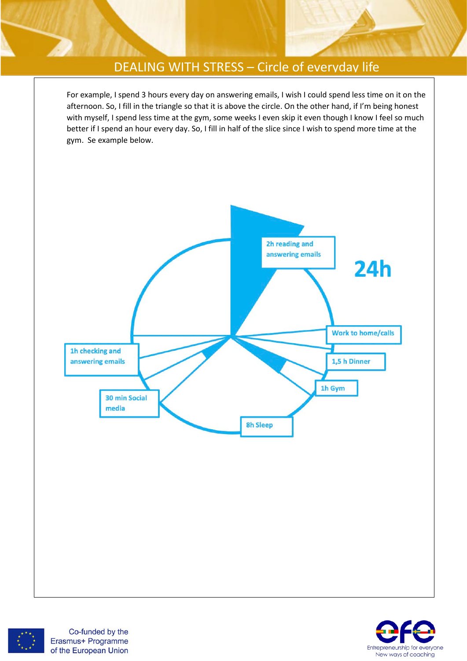For example, I spend 3 hours every day on answering emails, I wish I could spend less time on it on the afternoon. So, I fill in the triangle so that it is above the circle. On the other hand, if I'm being honest with myself, I spend less time at the gym, some weeks I even skip it even though I know I feel so much better if I spend an hour every day. So, I fill in half of the slice since I wish to spend more time at the gym. Se example below.





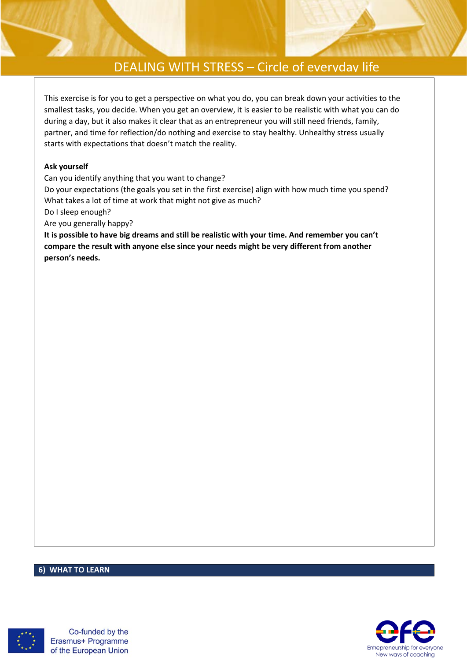This exercise is for you to get a perspective on what you do, you can break down your activities to the smallest tasks, you decide. When you get an overview, it is easier to be realistic with what you can do during a day, but it also makes it clear that as an entrepreneur you will still need friends, family, partner, and time for reflection/do nothing and exercise to stay healthy. Unhealthy stress usually starts with expectations that doesn't match the reality.

### **Ask yourself**

Can you identify anything that you want to change?

Do your expectations (the goals you set in the first exercise) align with how much time you spend? What takes a lot of time at work that might not give as much?

Do I sleep enough?

Are you generally happy?

**It is possible to have big dreams and still be realistic with your time. And remember you can't compare the result with anyone else since your needs might be very different from another person's needs.**

### **6) WHAT TO LEARN**